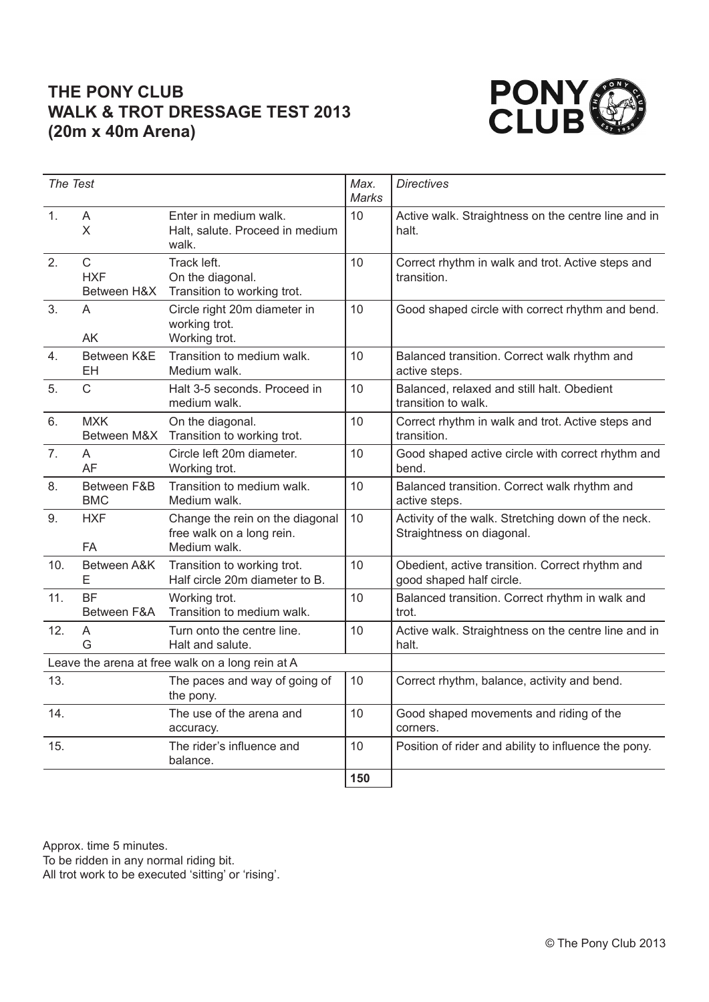## **THE PONY CLUB WALK & TROT DRESSAGE TEST 2013 (20m x 40m Arena)**



| The Test                                         |                                           | Max.<br><b>Marks</b>                                                         | <b>Directives</b> |                                                                                 |
|--------------------------------------------------|-------------------------------------------|------------------------------------------------------------------------------|-------------------|---------------------------------------------------------------------------------|
| $\mathbf{1}$ .                                   | A<br>X                                    | Enter in medium walk.<br>Halt, salute. Proceed in medium<br>walk.            | 10                | Active walk. Straightness on the centre line and in<br>halt.                    |
| 2.                                               | $\mathsf{C}$<br><b>HXF</b><br>Between H&X | Track left.<br>On the diagonal.<br>Transition to working trot.               | 10                | Correct rhythm in walk and trot. Active steps and<br>transition.                |
| 3.                                               | A<br>AK                                   | Circle right 20m diameter in<br>working trot.<br>Working trot.               | 10                | Good shaped circle with correct rhythm and bend.                                |
| 4.                                               | Between K&E<br>EH                         | Transition to medium walk.<br>Medium walk.                                   | 10                | Balanced transition. Correct walk rhythm and<br>active steps.                   |
| 5.                                               | $\mathsf{C}$                              | Halt 3-5 seconds. Proceed in<br>medium walk.                                 | 10                | Balanced, relaxed and still halt. Obedient<br>transition to walk.               |
| 6.                                               | <b>MXK</b><br>Between M&X                 | On the diagonal.<br>Transition to working trot.                              | 10                | Correct rhythm in walk and trot. Active steps and<br>transition.                |
| 7 <sub>1</sub>                                   | A<br><b>AF</b>                            | Circle left 20m diameter.<br>Working trot.                                   | 10                | Good shaped active circle with correct rhythm and<br>bend.                      |
| 8.                                               | Between F&B<br><b>BMC</b>                 | Transition to medium walk.<br>Medium walk.                                   | 10                | Balanced transition. Correct walk rhythm and<br>active steps.                   |
| 9.                                               | <b>HXF</b><br><b>FA</b>                   | Change the rein on the diagonal<br>free walk on a long rein.<br>Medium walk. | 10                | Activity of the walk. Stretching down of the neck.<br>Straightness on diagonal. |
| 10.                                              | Between A&K<br>Е                          | Transition to working trot.<br>Half circle 20m diameter to B.                | 10                | Obedient, active transition. Correct rhythm and<br>good shaped half circle.     |
| 11.                                              | <b>BF</b><br>Between F&A                  | Working trot.<br>Transition to medium walk.                                  | 10                | Balanced transition. Correct rhythm in walk and<br>trot.                        |
| 12.                                              | A<br>G                                    | Turn onto the centre line.<br>Halt and salute.                               | 10                | Active walk. Straightness on the centre line and in<br>halt.                    |
| Leave the arena at free walk on a long rein at A |                                           |                                                                              |                   |                                                                                 |
| 13.                                              |                                           | The paces and way of going of<br>the pony.                                   | 10                | Correct rhythm, balance, activity and bend.                                     |
| 14.                                              |                                           | The use of the arena and<br>accuracy.                                        | 10                | Good shaped movements and riding of the<br>corners.                             |
| 15.                                              |                                           | The rider's influence and<br>balance.                                        | 10                | Position of rider and ability to influence the pony.                            |
|                                                  |                                           |                                                                              | 150               |                                                                                 |

Approx. time 5 minutes.

To be ridden in any normal riding bit.

All trot work to be executed 'sitting' or 'rising'.